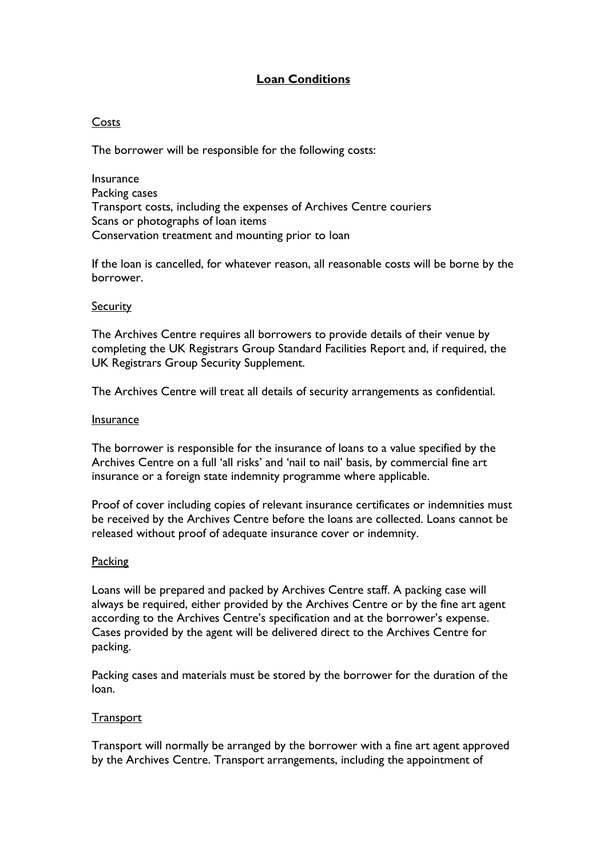# **Loan Conditions**

# **Costs**

The borrower will be responsible for the following costs:

Insurance Packing cases Transport costs, including the expenses of Archives Centre couriers Scans or photographs of loan items Conservation treatment and mounting prior to loan

If the loan is cancelled, for whatever reason, all reasonable costs will be borne by the borrower.

### **Security**

The Archives Centre requires all borrowers to provide details of their venue by completing the UK Registrars Group Standard Facilities Report and, if required, the UK Registrars Group Security Supplement.

The Archives Centre will treat all details of security arrangements as confidential.

#### Insurance

The borrower is responsible for the insurance of loans to a value specified by the Archives Centre on a full 'all risks' and 'nail to nail' basis, by commercial fine art insurance or a foreign state indemnity programme where applicable.

Proof of cover including copies of relevant insurance certificates or indemnities must be received by the Archives Centre before the loans are collected. Loans cannot be released without proof of adequate insurance cover or indemnity.

### Packing

Loans will be prepared and packed by Archives Centre staff. A packing case will always be required, either provided by the Archives Centre or by the fine art agent according to the Archives Centre's specification and at the borrower's expense. Cases provided by the agent will be delivered direct to the Archives Centre for packing.

Packing cases and materials must be stored by the borrower for the duration of the loan.

### **Transport**

Transport will normally be arranged by the borrower with a fine art agent approved by the Archives Centre. Transport arrangements, including the appointment of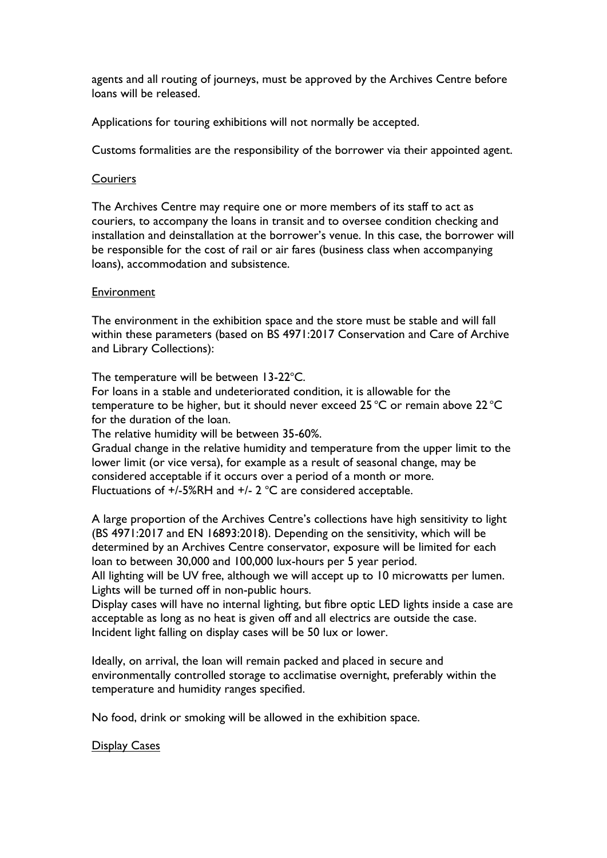agents and all routing of journeys, must be approved by the Archives Centre before loans will be released.

Applications for touring exhibitions will not normally be accepted.

Customs formalities are the responsibility of the borrower via their appointed agent.

## **Couriers**

The Archives Centre may require one or more members of its staff to act as couriers, to accompany the loans in transit and to oversee condition checking and installation and deinstallation at the borrower's venue. In this case, the borrower will be responsible for the cost of rail or air fares (business class when accompanying loans), accommodation and subsistence.

# Environment

The environment in the exhibition space and the store must be stable and will fall within these parameters (based on BS 4971:2017 Conservation and Care of Archive and Library Collections):

The temperature will be between  $13-22^{\circ}C$ .

For loans in a stable and undeteriorated condition, it is allowable for the temperature to be higher, but it should never exceed 25  $\degree$ C or remain above 22  $\degree$ C for the duration of the loan.

The relative humidity will be between 35-60%.

Gradual change in the relative humidity and temperature from the upper limit to the lower limit (or vice versa), for example as a result of seasonal change, may be considered acceptable if it occurs over a period of a month or more. Fluctuations of  $+$ /-5%RH and  $+$ /- 2 °C are considered acceptable.

A large proportion of the Archives Centre's collections have high sensitivity to light (BS 4971:2017 and EN 16893:2018). Depending on the sensitivity, which will be determined by an Archives Centre conservator, exposure will be limited for each loan to between 30,000 and 100,000 lux-hours per 5 year period.

All lighting will be UV free, although we will accept up to 10 microwatts per lumen. Lights will be turned off in non-public hours.

Display cases will have no internal lighting, but fibre optic LED lights inside a case are acceptable as long as no heat is given off and all electrics are outside the case. Incident light falling on display cases will be 50 lux or lower.

Ideally, on arrival, the loan will remain packed and placed in secure and environmentally controlled storage to acclimatise overnight, preferably within the temperature and humidity ranges specified.

No food, drink or smoking will be allowed in the exhibition space.

# Display Cases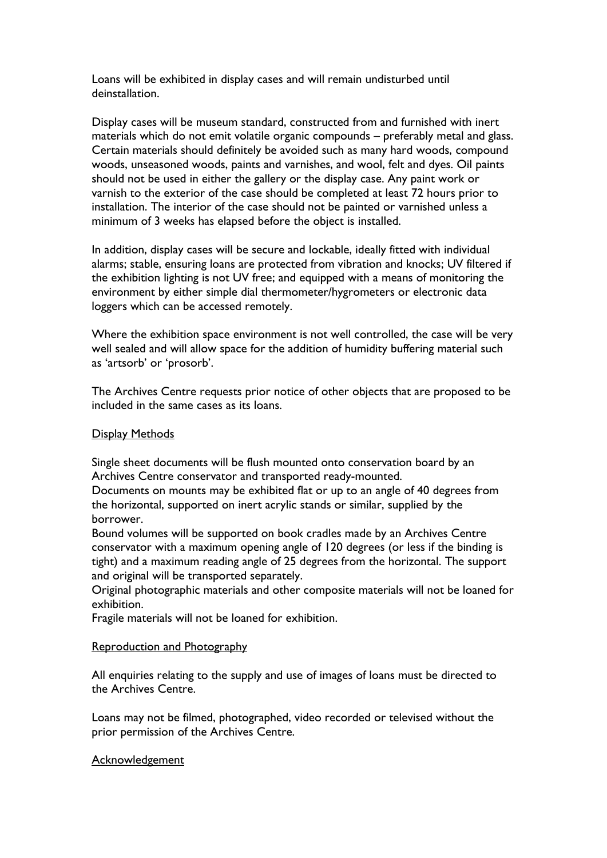Loans will be exhibited in display cases and will remain undisturbed until deinstallation.

Display cases will be museum standard, constructed from and furnished with inert materials which do not emit volatile organic compounds – preferably metal and glass. Certain materials should definitely be avoided such as many hard woods, compound woods, unseasoned woods, paints and varnishes, and wool, felt and dyes. Oil paints should not be used in either the gallery or the display case. Any paint work or varnish to the exterior of the case should be completed at least 72 hours prior to installation. The interior of the case should not be painted or varnished unless a minimum of 3 weeks has elapsed before the object is installed.

In addition, display cases will be secure and lockable, ideally fitted with individual alarms; stable, ensuring loans are protected from vibration and knocks; UV filtered if the exhibition lighting is not UV free; and equipped with a means of monitoring the environment by either simple dial thermometer/hygrometers or electronic data loggers which can be accessed remotely.

Where the exhibition space environment is not well controlled, the case will be very well sealed and will allow space for the addition of humidity buffering material such as 'artsorb' or 'prosorb'.

The Archives Centre requests prior notice of other objects that are proposed to be included in the same cases as its loans.

## Display Methods

Single sheet documents will be flush mounted onto conservation board by an Archives Centre conservator and transported ready-mounted.

Documents on mounts may be exhibited flat or up to an angle of 40 degrees from the horizontal, supported on inert acrylic stands or similar, supplied by the borrower.

Bound volumes will be supported on book cradles made by an Archives Centre conservator with a maximum opening angle of 120 degrees (or less if the binding is tight) and a maximum reading angle of 25 degrees from the horizontal. The support and original will be transported separately.

Original photographic materials and other composite materials will not be loaned for exhibition.

Fragile materials will not be loaned for exhibition.

### Reproduction and Photography

All enquiries relating to the supply and use of images of loans must be directed to the Archives Centre.

Loans may not be filmed, photographed, video recorded or televised without the prior permission of the Archives Centre.

#### Acknowledgement